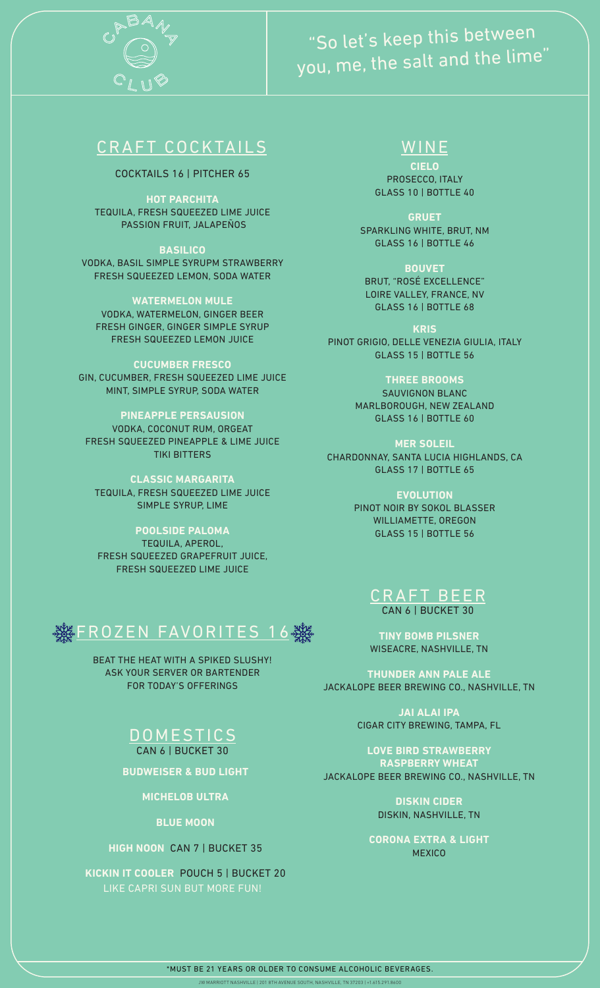

# "So let's keep this between you, me, the salt and the lime"

## CRAFT COCKTAILS WINE

COCKTAILS 16 | PITCHER 65

**HOT PARCHITA** TEQUILA, FRESH SQUEEZED LIME JUICE PASSION FRUIT, JALAPEÑOS

**BASILICO** VODKA, BASIL SIMPLE SYRUPM STRAWBERRY FRESH SQUEEZED LEMON, SODA WATER

**WATERMELON MULE** VODKA, WATERMELON, GINGER BEER FRESH GINGER, GINGER SIMPLE SYRUP FRESH SQUEEZED LEMON JUICE

## **CUCUMBER FRESCO**

GIN, CUCUMBER, FRESH SQUEEZED LIME JUICE MINT, SIMPLE SYRUP, SODA WATER

## **PINEAPPLE PERSAUSION**

VODKA, COCONUT RUM, ORGEAT FRESH SQUEEZED PINEAPPLE & LIME JUICE TIKI BITTERS

**CLASSIC MARGARITA** TEQUILA, FRESH SQUEEZED LIME JUICE SIMPLE SYRUP, LIME

### **POOLSIDE PALOMA**

TEQUILA, APEROL, FRESH SQUEEZED GRAPEFRUIT JUICE, FRESH SQUEEZED LIME JUICE



BEAT THE HEAT WITH A SPIKED SLUSHY! ASK YOUR SERVER OR BARTENDER FOR TODAY'S OFFERINGS

## **DOMESTICS** CAN 6 | BUCKET 30

**BUDWEISER & BUD LIGHT**

**MICHELOB ULTRA**

**BLUE MOON**

## **HIGH NOON** CAN 7 | BUCKET 35

**KICKIN IT COOLER** POUCH 5 | BUCKET 20 LIKE CAPRI SUN BUT MORE FUN!

**CIELO** PROSECCO, ITALY GLASS 10 | BOTTLE 40

**GRUET** SPARKLING WHITE, BRUT, NM GLASS 16 | BOTTLE 46

**BOUVET** BRUT, "ROSÉ EXCELLENCE" LOIRE VALLEY, FRANCE, NV GLASS 16 | BOTTLE 68

**KRIS** PINOT GRIGIO, DELLE VENEZIA GIULIA, ITALY GLASS 15 | BOTTLE 56

> **THREE BROOMS** SAUVIGNON BLANC

MARLBOROUGH, NEW ZEALAND GLASS 16 | BOTTLE 60

**MER SOLEIL**  CHARDONNAY, SANTA LUCIA HIGHLANDS, CA GLASS 17 | BOTTLE 65

> **EVOLUTION** PINOT NOIR BY SOKOL BLASSER WILLIAMETTE, OREGON GLASS 15 | BOTTLE 56



**TINY BOMB PILSNER** WISEACRE, NASHVILLE, TN

**THUNDER ANN PALE ALE** JACKALOPE BEER BREWING CO., NASHVILLE, TN

> **JAI ALAI IPA** CIGAR CITY BREWING, TAMPA, FL

**LOVE BIRD STRAWBERRY ASPBERRY WHEAT** JACKALOPE BEER BREWING CO., NASHVILLE, TN

> **DISKIN CIDER** DISKIN, NASHVILLE, TN

**CORONA EXTRA & LIGHT MEXICO**